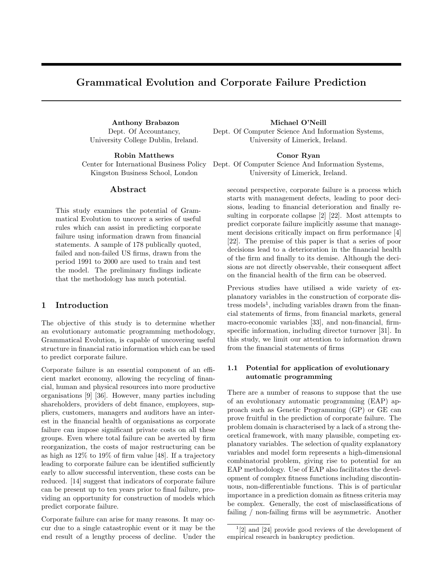# Grammatical Evolution and Corporate Failure Prediction

Anthony Brabazon Dept. Of Accountancy, University College Dublin, Ireland.

Robin Matthews Kingston Business School, London

#### Abstract

This study examines the potential of Grammatical Evolution to uncover a series of useful rules which can assist in predicting corporate failure using information drawn from financial statements. A sample of 178 publically quoted, failed and non-failed US firms, drawn from the period 1991 to 2000 are used to train and test the model. The preliminary findings indicate that the methodology has much potential.

# 1 Introduction

The objective of this study is to determine whether an evolutionary automatic programming methodology, Grammatical Evolution, is capable of uncovering useful structure in financial ratio information which can be used to predict corporate failure.

Corporate failure is an essential component of an efficient market economy, allowing the recycling of financial, human and physical resources into more productive organisations [9] [36]. However, many parties including shareholders, providers of debt finance, employees, suppliers, customers, managers and auditors have an interest in the financial health of organisations as corporate failure can impose significant private costs on all these groups. Even where total failure can be averted by firm reorganization, the costs of major restructuring can be as high as 12% to 19% of firm value [48]. If a trajectory leading to corporate failure can be identified sufficiently early to allow successful intervention, these costs can be reduced. [14] suggest that indicators of corporate failure can be present up to ten years prior to final failure, providing an opportunity for construction of models which predict corporate failure.

Corporate failure can arise for many reasons. It may occur due to a single catastrophic event or it may be the end result of a lengthy process of decline. Under the

Michael O'Neill Dept. Of Computer Science And Information Systems, University of Limerick, Ireland.

Conor Ryan

Center for International Business Policy Dept. Of Computer Science And Information Systems, University of Limerick, Ireland.

> second perspective, corporate failure is a process which starts with management defects, leading to poor decisions, leading to financial deterioration and finally resulting in corporate collapse [2] [22]. Most attempts to predict corporate failure implicitly assume that management decisions critically impact on firm performance [4] [22]. The premise of this paper is that a series of poor decisions lead to a deterioration in the financial health of the firm and finally to its demise. Although the decisions are not directly observable, their consequent affect on the financial health of the firm can be observed.

> Previous studies have utilised a wide variety of explanatory variables in the construction of corporate distress models<sup>1</sup>, including variables drawn from the financial statements of firms, from financial markets, general macro-economic variables [33], and non-financial, firmspecific information, including director turnover [31]. In this study, we limit our attention to information drawn from the financial statements of firms

# 1.1 Potential for application of evolutionary automatic programming

There are a number of reasons to suppose that the use of an evolutionary automatic programming (EAP) approach such as Genetic Programming (GP) or GE can prove fruitful in the prediction of corporate failure. The problem domain is characterised by a lack of a strong theoretical framework, with many plausible, competing explanatory variables. The selection of quality explanatory variables and model form represents a high-dimensional combinatorial problem, giving rise to potential for an EAP methodology. Use of EAP also facilitates the development of complex fitness functions including discontinuous, non-differentiable functions. This is of particular importance in a prediction domain as fitness criteria may be complex. Generally, the cost of misclassifications of failing / non-failing firms will be asymmetric. Another

<sup>1</sup> [2] and [24] provide good reviews of the development of empirical research in bankruptcy prediction.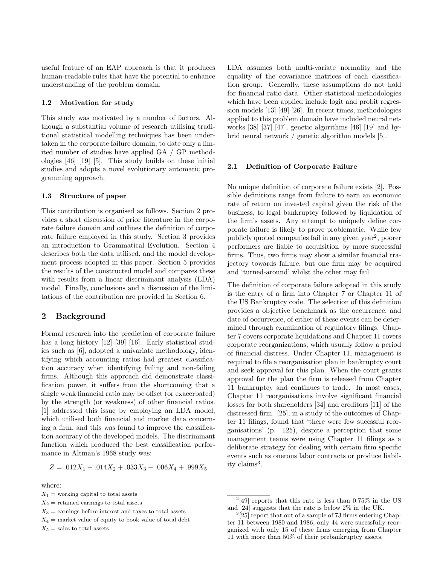useful feature of an EAP approach is that it produces human-readable rules that have the potential to enhance understanding of the problem domain.

#### 1.2 Motivation for study

This study was motivated by a number of factors. Although a substantial volume of research utilising traditional statistical modelling techniques has been undertaken in the corporate failure domain, to date only a limited number of studies have applied GA / GP methodologies [46] [19] [5]. This study builds on these initial studies and adopts a novel evolutionary automatic programming approach.

#### 1.3 Structure of paper

This contribution is organised as follows. Section 2 provides a short discussion of prior literature in the corporate failure domain and outlines the definition of corporate failure employed in this study. Section 3 provides an introduction to Grammatical Evolution. Section 4 describes both the data utilised, and the model development process adopted in this paper. Section 5 provides the results of the constructed model and compares these with results from a linear discriminant analysis (LDA) model. Finally, conclusions and a discussion of the limitations of the contribution are provided in Section 6.

#### 2 Background

Formal research into the prediction of corporate failure has a long history [12] [39] [16]. Early statistical studies such as [6], adopted a univariate methodology, identifying which accounting ratios had greatest classification accuracy when identifying failing and non-failing firms. Although this approach did demonstrate classification power, it suffers from the shortcoming that a single weak financial ratio may be offset (or exacerbated) by the strength (or weakness) of other financial ratios. [1] addressed this issue by employing an LDA model, which utilised both financial and market data concerning a firm, and this was found to improve the classification accuracy of the developed models. The discriminant function which produced the best classification performance in Altman's 1968 study was:

$$
Z = .012X_1 + .014X_2 + .033X_3 + .006X_4 + .999X_5
$$

where:

 $X_5$  = sales to total assets

LDA assumes both multi-variate normality and the equality of the covariance matrices of each classification group. Generally, these assumptions do not hold for financial ratio data. Other statistical methodologies which have been applied include logit and probit regression models [13] [49] [26]. In recent times, methodologies applied to this problem domain have included neural networks [38] [37] [47], genetic algorithms [46] [19] and hybrid neural network / genetic algorithm models [5].

#### 2.1 Definition of Corporate Failure

No unique definition of corporate failure exists [2]. Possible definitions range from failure to earn an economic rate of return on invested capital given the risk of the business, to legal bankruptcy followed by liquidation of the firm's assets. Any attempt to uniquely define corporate failure is likely to prove problematic. While few publicly quoted companies fail in any given year<sup>2</sup>, poorer performers are liable to acquisition by more successful firms. Thus, two firms may show a similar financial trajectory towards failure, but one firm may be acquired and 'turned-around' whilst the other may fail.

The definition of corporate failure adopted in this study is the entry of a firm into Chapter 7 or Chapter 11 of the US Bankruptcy code. The selection of this definition provides a objective benchmark as the occurrence, and date of occurrence, of either of these events can be determined through examination of regulatory filings. Chapter 7 covers corporate liquidations and Chapter 11 covers corporate reorganizations, which usually follow a period of financial distress. Under Chapter 11, management is required to file a reorganisation plan in bankruptcy court and seek approval for this plan. When the court grants approval for the plan the firm is released from Chapter 11 bankruptcy and continues to trade. In most cases, Chapter 11 reorganisations involve significant financial losses for both shareholders [34] and creditors [11] of the distressed firm. [25], in a study of the outcomes of Chapter 11 filings, found that 'there were few sucessful reorganisations' (p. 125), despite a perception that some management teams were using Chapter 11 filings as a deliberate strategy for dealing with certain firm specific events such as onerous labor contracts or produce liability claims<sup>3</sup>.

 $X_1$  = working capital to total assets

 $X_2$  = retained earnings to total assets

 $X_3$  = earnings before interest and taxes to total assets

 $X_4$  = market value of equity to book value of total debt

 $2[49]$  reports that this rate is less than 0.75% in the US and [24] suggests that the rate is below 2% in the UK.

 $3[25]$  report that out of a sample of 73 firms entering Chapter 11 between 1980 and 1986, only 44 were sucessfully reorganized with only 15 of these firms emerging from Chapter 11 with more than 50% of their prebankruptcy assets.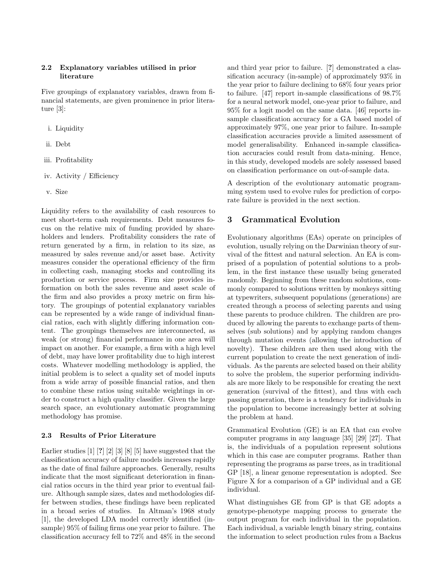### 2.2 Explanatory variables utilised in prior literature

Five groupings of explanatory variables, drawn from financial statements, are given prominence in prior literature [3]:

- i. Liquidity
- ii. Debt
- iii. Profitability
- iv. Activity / Efficiency
- v. Size

Liquidity refers to the availability of cash resources to meet short-term cash requirements. Debt measures focus on the relative mix of funding provided by shareholders and lenders. Profitability considers the rate of return generated by a firm, in relation to its size, as measured by sales revenue and/or asset base. Activity measures consider the operational efficiency of the firm in collecting cash, managing stocks and controlling its production or service process. Firm size provides information on both the sales revenue and asset scale of the firm and also provides a proxy metric on firm history. The groupings of potential explanatory variables can be represented by a wide range of individual financial ratios, each with slightly differing information content. The groupings themselves are interconnected, as weak (or strong) financial performance in one area will impact on another. For example, a firm with a high level of debt, may have lower profitability due to high interest costs. Whatever modelling methodology is applied, the initial problem is to select a quality set of model inputs from a wide array of possible financial ratios, and then to combine these ratios using suitable weightings in order to construct a high quality classifier. Given the large search space, an evolutionary automatic programming methodology has promise.

#### 2.3 Results of Prior Literature

Earlier studies [1] [?] [2] [3] [8] [5] have suggested that the classification accuracy of failure models increases rapidly as the date of final failure approaches. Generally, results indicate that the most significant deterioration in financial ratios occurs in the third year prior to eventual failure. Although sample sizes, dates and methodologies differ between studies, these findings have been replicated in a broad series of studies. In Altman's 1968 study [1], the developed LDA model correctly identified (insample) 95% of failing firms one year prior to failure. The classification accuracy fell to 72% and 48% in the second and third year prior to failure. [?] demonstrated a classification accuracy (in-sample) of approximately 93% in the year prior to failure declining to 68% four years prior to failure. [47] report in-sample classifications of 98.7% for a neural network model, one-year prior to failure, and 95% for a logit model on the same data. [46] reports insample classification accuracy for a GA based model of approximately 97%, one year prior to failure. In-sample classification accuracies provide a limited assessment of model generalisability. Enhanced in-sample classification accuracies could result from data-mining. Hence, in this study, developed models are solely assessed based on classification performance on out-of-sample data.

A description of the evolutionary automatic programming system used to evolve rules for prediction of corporate failure is provided in the next section.

# 3 Grammatical Evolution

Evolutionary algorithms (EAs) operate on principles of evolution, usually relying on the Darwinian theory of survival of the fittest and natural selection. An EA is comprised of a population of potential solutions to a problem, in the first instance these usually being generated randomly. Beginning from these random solutions, commonly compared to solutions written by monkeys sitting at typewriters, subsequent populations (generations) are created through a process of selecting parents and using these parents to produce children. The children are produced by allowing the parents to exchange parts of themselves (sub solutions) and by applying random changes through mutation events (allowing the introduction of novelty). These children are then used along with the current population to create the next generation of individuals. As the parents are selected based on their ability to solve the problem, the superior performing individuals are more likely to be responsible for creating the next generation (survival of the fittest), and thus with each passing generation, there is a tendency for individuals in the population to become increasingly better at solving the problem at hand.

Grammatical Evolution (GE) is an EA that can evolve computer programs in any language [35] [29] [27]. That is, the individuals of a population represent solutions which in this case are computer programs. Rather than representing the programs as parse trees, as in traditional GP [18], a linear genome representation is adopted. See Figure X for a comparison of a GP individual and a GE individual.

What distinguishes GE from GP is that GE adopts a genotype-phenotype mapping process to generate the output program for each individual in the population. Each individual, a variable length binary string, contains the information to select production rules from a Backus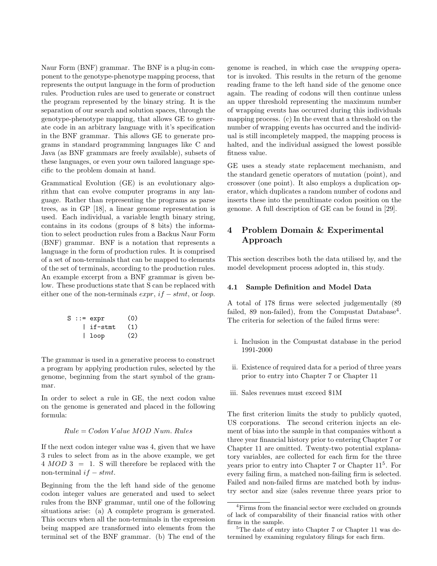Naur Form (BNF) grammar. The BNF is a plug-in component to the genotype-phenotype mapping process, that represents the output language in the form of production rules. Production rules are used to generate or construct the program represented by the binary string. It is the separation of our search and solution spaces, through the genotype-phenotype mapping, that allows GE to generate code in an arbitrary language with it's specification in the BNF grammar. This allows GE to generate programs in standard programming languages like C and Java (as BNF grammars are freely available), subsets of these languages, or even your own tailored language specific to the problem domain at hand.

Grammatical Evolution (GE) is an evolutionary algorithm that can evolve computer programs in any language. Rather than representing the programs as parse trees, as in GP [18], a linear genome representation is used. Each individual, a variable length binary string, contains in its codons (groups of 8 bits) the information to select production rules from a Backus Naur Form (BNF) grammar. BNF is a notation that represents a language in the form of production rules. It is comprised of a set of non-terminals that can be mapped to elements of the set of terminals, according to the production rules. An example excerpt from a BNF grammar is given below. These productions state that S can be replaced with either one of the non-terminals  $expr$ , if  $-stmt$ , or loop.

|  | $S$ ::= $expr$ | (0) |
|--|----------------|-----|
|  | l if-stmt      | (1) |
|  | loop           | (2) |

The grammar is used in a generative process to construct a program by applying production rules, selected by the genome, beginning from the start symbol of the grammar.

In order to select a rule in GE, the next codon value on the genome is generated and placed in the following formula:

#### Rule = Codon V alue MOD Num. Rules

If the next codon integer value was 4, given that we have 3 rules to select from as in the above example, we get 4 MOD 3 = 1. S will therefore be replaced with the non-terminal  $if - \text{stmt}$ .

Beginning from the the left hand side of the genome codon integer values are generated and used to select rules from the BNF grammar, until one of the following situations arise: (a) A complete program is generated. This occurs when all the non-terminals in the expression being mapped are transformed into elements from the terminal set of the BNF grammar. (b) The end of the genome is reached, in which case the wrapping operator is invoked. This results in the return of the genome reading frame to the left hand side of the genome once again. The reading of codons will then continue unless an upper threshold representing the maximum number of wrapping events has occurred during this individuals mapping process. (c) In the event that a threshold on the number of wrapping events has occurred and the individual is still incompletely mapped, the mapping process is halted, and the individual assigned the lowest possible fitness value.

GE uses a steady state replacement mechanism, and the standard genetic operators of mutation (point), and crossover (one point). It also employs a duplication operator, which duplicates a random number of codons and inserts these into the penultimate codon position on the genome. A full description of GE can be found in [29].

# 4 Problem Domain & Experimental Approach

This section describes both the data utilised by, and the model development process adopted in, this study.

#### 4.1 Sample Definition and Model Data

A total of 178 firms were selected judgementally (89 failed, 89 non-failed), from the Compustat Database<sup>4</sup>. The criteria for selection of the failed firms were:

- i. Inclusion in the Compustat database in the period 1991-2000
- ii. Existence of required data for a period of three years prior to entry into Chapter 7 or Chapter 11
- iii. Sales revenues must exceed \$1M

The first criterion limits the study to publicly quoted, US corporations. The second criterion injects an element of bias into the sample in that companies without a three year financial history prior to entering Chapter 7 or Chapter 11 are omitted. Twenty-two potential explanatory variables, are collected for each firm for the three years prior to entry into Chapter 7 or Chapter 11<sup>5</sup> . For every failing firm, a matched non-failing firm is selected. Failed and non-failed firms are matched both by industry sector and size (sales revenue three years prior to

<sup>&</sup>lt;sup>4</sup>Firms from the financial sector were excluded on grounds of lack of comparability of their financial ratios with other firms in the sample.

<sup>&</sup>lt;sup>5</sup>The date of entry into Chapter 7 or Chapter 11 was determined by examining regulatory filings for each firm.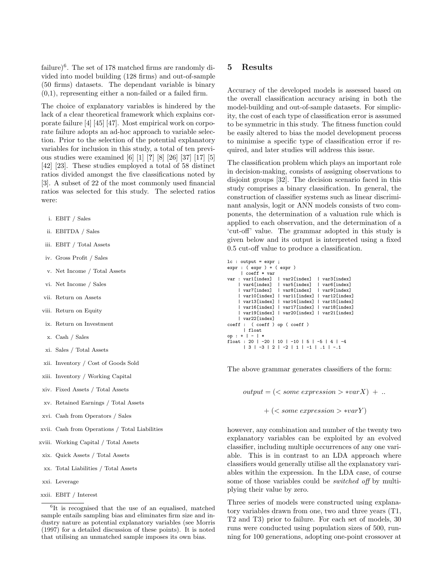failure)<sup>6</sup>. The set of 178 matched firms are randomly divided into model building (128 firms) and out-of-sample (50 firms) datasets. The dependant variable is binary (0,1), representing either a non-failed or a failed firm.

The choice of explanatory variables is hindered by the lack of a clear theoretical framework which explains corporate failure [4] [45] [47]. Most empirical work on corporate failure adopts an ad-hoc approach to variable selection. Prior to the selection of the potential explanatory variables for inclusion in this study, a total of ten previous studies were examined [6] [1] [?] [8] [26] [37] [17] [5] [42] [23]. These studies employed a total of 58 distinct ratios divided amongst the five classifications noted by [3]. A subset of 22 of the most commonly used financial ratios was selected for this study. The selected ratios were:

- i. EBIT / Sales
- ii. EBITDA / Sales
- iii. EBIT / Total Assets
- iv. Gross Profit / Sales
- v. Net Income / Total Assets
- vi. Net Income / Sales
- vii. Return on Assets
- viii. Return on Equity
- ix. Return on Investment
- x. Cash / Sales
- xi. Sales / Total Assets
- xii. Inventory / Cost of Goods Sold
- xiii. Inventory / Working Capital
- xiv. Fixed Assets / Total Assets
- xv. Retained Earnings / Total Assets
- xvi. Cash from Operators / Sales
- xvii. Cash from Operations / Total Liabilities
- xviii. Working Capital / Total Assets
- xix. Quick Assets / Total Assets
- xx. Total Liabilities / Total Assets
- xxi. Leverage
- xxii. EBIT / Interest

## 5 Results

Accuracy of the developed models is assessed based on the overall classification accuracy arising in both the model-building and out-of-sample datasets. For simplicity, the cost of each type of classification error is assumed to be symmetric in this study. The fitness function could be easily altered to bias the model development process to minimise a specific type of classification error if required, and later studies will address this issue.

The classification problem which plays an important role in decision-making, consists of assigning observations to disjoint groups [32]. The decision scenario faced in this study comprises a binary classification. In general, the construction of classifier systems such as linear discriminant analysis, logit or ANN models consists of two components, the determination of a valuation rule which is applied to each observation, and the determination of a 'cut-off' value. The grammar adopted in this study is given below and its output is interpreted using a fixed 0.5 cut-off value to produce a classification.

```
lc : output = expr ;
expr : ( expr ) + ( expr )
      | coeff * var
    var : var1[index] | var2[index] | var3[index]
       | var4[index] | var5[index] | var6[index]<br>| var7[index] | var8[index] | var9[index]
     | var7[index] | var8[index] | var9[index]
     | var10[index] | var11[index] | var12[index]
       var13[index] | var14[index] | var15[index]<br>var16[index] | var17[index] | var18[index]
       var16[index] |
      | var19[index] | var20[index] | var21[index]
     | var22[index]
coeff : ( coeff ) op ( coeff )
      | float
op : + | - | *
float : 20 | -20 | 10 | -10 | 5 | -5 | 4 | -4
       | 3 | -3 | 2 | -2 | 1 | -1 | .1 | -.1
```
The above grammar generates classifiers of the form:

 $output = \langle \langle \mathit{some} \ \mathit{expression} \rangle \rangle \langle \mathit{varX} \rangle + \langle \mathit{varX} \rangle$ 

$$
+ (some expression > starY)
$$

however, any combination and number of the twenty two explanatory variables can be exploited by an evolved classifier, including multiple occurrences of any one variable. This is in contrast to an LDA approach where classifiers would generally utilise all the explanatory variables within the expression. In the LDA case, of course some of those variables could be *switched off* by multiplying their value by zero.

Three series of models were constructed using explanatory variables drawn from one, two and three years (T1, T2 and T3) prior to failure. For each set of models, 30 runs were conducted using population sizes of 500, running for 100 generations, adopting one-point crossover at

<sup>&</sup>lt;sup>6</sup>It is recognised that the use of an equalised, matched sample entails sampling bias and eliminates firm size and industry nature as potential explanatory variables (see Morris (1997) for a detailed discussion of these points). It is noted that utilising an unmatched sample imposes its own bias.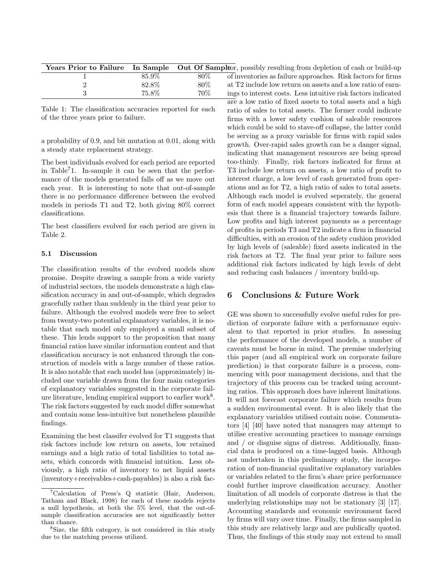| Years Prior to Failure In Sample Out Of Samples |       |      |    |
|-------------------------------------------------|-------|------|----|
|                                                 | 85.9% | 80\% | οf |
|                                                 | 82.8% | 80\% | at |
|                                                 | 75.8% | 70\% | in |

Table 1: The classification accuracies reported for each of the three years prior to failure.

a probability of 0.9, and bit mutation at 0.01, along with a steady state replacement strategy.

The best individuals evolved for each period are reported in Table<sup>7</sup>1. In-sample it can be seen that the performance of the models generated falls off as we move out each year. It is interesting to note that out-of-sample there is no performance difference between the evolved models in periods T1 and T2, both giving 80% correct classifications.

The best classifiers evolved for each period are given in Table 2.

#### 5.1 Discussion

The classification results of the evolved models show promise. Despite drawing a sample from a wide variety of industrial sectors, the models demonstrate a high classification accuracy in and out-of-sample, which degrades gracefully rather than suddenly in the third year prior to failure. Although the evolved models were free to select from twenty-two potential explanatory variables, it is notable that each model only employed a small subset of these. This lends support to the proposition that many financial ratios have similar information content and that classification accuracy is not enhanced through the construction of models with a large number of these ratios. It is also notable that each model has (approximately) included one variable drawn from the four main categories of explanatory variables suggested in the corporate failure literature, lending empirical support to earlier work<sup>8</sup>. The risk factors suggested by each model differ somewhat and contain some less-intuitive but nonetheless plausible findings.

Examining the best classifer evolved for T1 suggests that risk factors include low return on assets, low retained earnings and a high ratio of total liabilities to total assets, which concords with financial intuition. Less obviously, a high ratio of inventory to net liquid assets (inventory+receivables+cash-payables) is also a risk fac-

 $\overline{r}$ , possibly resulting from depletion of cash or build-up inventories as failure approaches. Risk factors for firms T2 include low return on assets and a low ratio of earngs to interest costs. Less intuitive risk factors indicated are a low ratio of fixed assets to total assets and a high ratio of sales to total assets. The former could indicate firms with a lower safety cushion of saleable resources which could be sold to stave-off collapse, the latter could be serving as a proxy variable for firms with rapid sales growth. Over-rapid sales growth can be a danger signal, indicating that management resources are being spread too-thinly. Finally, risk factors indicated for firms at T3 include low return on assets, a low ratio of profit to interest charge, a low level of cash generated from operations and as for T2, a high ratio of sales to total assets. Although each model is evolved seperately, the general form of each model appears consistent with the hypothesis that there is a financial trajectory towards failure. Low profits and high interest payments as a percentage of profits in periods T3 and T2 indicate a firm in financial difficulties, with an erosion of the safety cushion provided by high levels of (saleable) fixed assets indicated in the risk factors at T2. The final year prior to failure sees additional risk factors indicated by high levels of debt and reducing cash balances / inventory build-up.

# 6 Conclusions & Future Work

GE was shown to successfully evolve useful rules for prediction of corporate failure with a performance equivalent to that reported in prior studies. In assessing the performance of the developed models, a number of caveats must be borne in mind. The premise underlying this paper (and all empirical work on corporate failure prediction) is that corporate failure is a process, commencing with poor management decisions, and that the trajectory of this process can be tracked using accounting ratios. This approach does have inherent limitations. It will not forecast corporate failure which results from a sudden environmental event. It is also likely that the explanatory variables utilised contain noise. Commentators [4] [40] have noted that managers may attempt to utilise creative accounting practices to manage earnings and / or disguise signs of distress. Additionally, financial data is produced on a time-lagged basis. Although not undertaken in this preliminary study, the incorporation of non-financial qualitative explanatory variables or variables related to the firm's share price performance could further improve classification accuracy. Another limitation of all models of corporate distress is that the underlying relationships may not be stationary [3] [17]. Accounting standards and economic environment faced by firms will vary over time. Finally, the firms sampled in this study are relatively large and are publically quoted. Thus, the findings of this study may not extend to small

<sup>7</sup>Calculation of Press's Q statistic (Hair, Anderson, Tatham and Black, 1998) for each of these models rejects a null hypothesis, at both the 5% level, that the out-ofsample classification accuracies are not significantly better than chance.

<sup>&</sup>lt;sup>8</sup>Size, the fifth category, is not considered in this study due to the matching process utilized.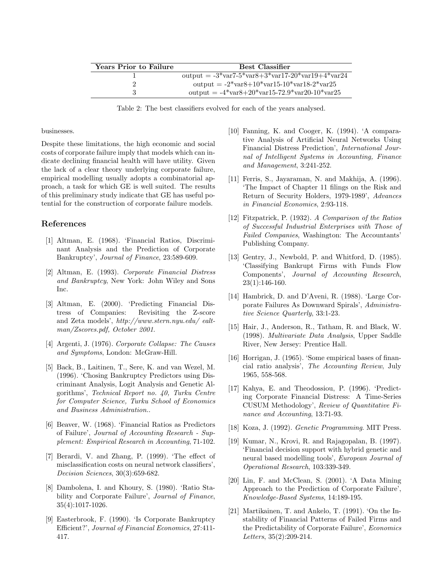| Years Prior to Failure | <b>Best Classifier</b>                             |
|------------------------|----------------------------------------------------|
|                        | output = $-3*var7-5*var8+3*var17-20*var19+4*var24$ |
|                        | output = $-2*var8+10*var15-10*var18-2*var25$       |
| 3                      | output = $-4*var8+20*var15-72.9*var20-10*var25$    |

Table 2: The best classifiers evolved for each of the years analysed.

businesses.

Despite these limitations, the high economic and social costs of corporate failure imply that models which can indicate declining financial health will have utility. Given the lack of a clear theory underlying corporate failure, empirical modelling usually adopts a combinatorial approach, a task for which GE is well suited. The results of this preliminary study indicate that GE has useful potential for the construction of corporate failure models.

## References

- [1] Altman, E. (1968). 'Financial Ratios, Discriminant Analysis and the Prediction of Corporate Bankruptcy', Journal of Finance, 23:589-609.
- [2] Altman, E. (1993). Corporate Financial Distress and Bankruptcy, New York: John Wiley and Sons Inc.
- [3] Altman, E. (2000). 'Predicting Financial Distress of Companies: Revisiting the Z-score and Zeta models', http://www.stern.nyu.edu/ ealtman/Zscores.pdf, October 2001.
- [4] Argenti, J. (1976). Corporate Collapse: The Causes and Symptoms, London: McGraw-Hill.
- [5] Back, B., Laitinen, T., Sere, K. and van Wezel, M. (1996). 'Chosing Bankruptcy Predictors using Discriminant Analysis, Logit Analysis and Genetic Algorithms', Technical Report no. 40, Turku Centre for Computer Science, Turku School of Economics and Business Administration..
- [6] Beaver, W. (1968). 'Financial Ratios as Predictors of Failure', Journal of Accounting Research - Supplement: Empirical Research in Accounting, 71-102.
- [7] Berardi, V. and Zhang, P. (1999). 'The effect of misclassification costs on neural network classifiers', Decision Sciences, 30(3):659-682.
- [8] Dambolena, I. and Khoury, S. (1980). 'Ratio Stability and Corporate Failure', *Journal of Finance*, 35(4):1017-1026.
- [9] Easterbrook, F. (1990). 'Is Corporate Bankruptcy Efficient?', Journal of Financial Economics, 27:411- 417.
- [10] Fanning, K. and Cooger, K. (1994). 'A comparative Analysis of Artificial Neural Networks Using Financial Distress Prediction', International Journal of Intelligent Systems in Accounting, Finance and Management, 3:241-252.
- [11] Ferris, S., Jayaraman, N. and Makhija, A. (1996). 'The Impact of Chapter 11 filings on the Risk and Return of Security Holders, 1979-1989', Advances in Financial Economics, 2:93-118.
- [12] Fitzpatrick, P. (1932). A Comparison of the Ratios of Successful Industrial Enterprises with Those of Failed Companies, Washington: The Accountants' Publishing Company.
- [13] Gentry, J., Newbold, P. and Whitford, D. (1985). 'Classifying Bankrupt Firms with Funds Flow Components', Journal of Accounting Research, 23(1):146-160.
- [14] Hambrick, D. and D'Aveni, R. (1988). 'Large Corporate Failures As Downward Spirals', Administrative Science Quarterly, 33:1-23.
- [15] Hair, J., Anderson, R., Tatham, R. and Black, W. (1998). Multivariate Data Analysis, Upper Saddle River, New Jersey: Prentice Hall.
- [16] Horrigan, J. (1965). 'Some empirical bases of financial ratio analysis', The Accounting Review, July 1965, 558-568.
- [17] Kahya, E. and Theodossiou, P. (1996). 'Predicting Corporate Financial Distress: A Time-Series CUSUM Methodology', Review of Quantitative Finance and Accounting, 13:71-93.
- [18] Koza, J. (1992). Genetic Programming. MIT Press.
- [19] Kumar, N., Krovi, R. and Rajagopalan, B. (1997). 'Financial decision support with hybrid genetic and neural based modelling tools', European Journal of Operational Research, 103:339-349.
- [20] Lin, F. and McClean, S. (2001). 'A Data Mining Approach to the Prediction of Corporate Failure', Knowledge-Based Systems, 14:189-195.
- [21] Martikainen, T. and Ankelo, T. (1991). 'On the Instability of Financial Patterns of Failed Firms and the Predictability of Corporate Failure', Economics Letters, 35(2):209-214.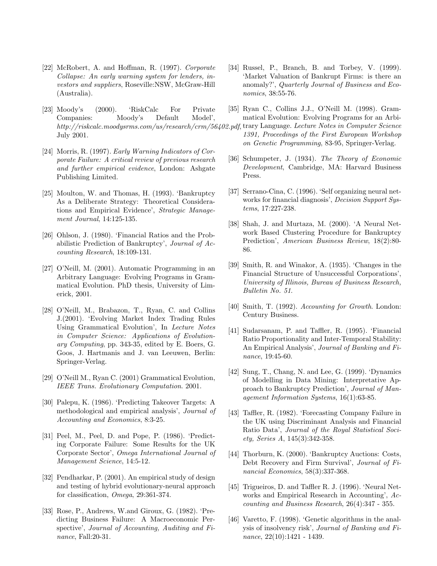- [22] McRobert, A. and Hoffman, R. (1997). Corporate Collapse: An early warning system for lenders, investors and suppliers, Roseville:NSW, McGraw-Hill (Australia).
- [23] Moody's (2000). 'RiskCalc For Private Companies: Moody's Default Model', http://riskcalc.moodysrms.com/us/research/crm/56402.pdf, trary Language. Lecture Notes in Computer Science July 2001.
- [24] Morris, R. (1997). Early Warning Indicators of Corporate Failure: A critical review of previous research and further empirical evidence, London: Ashgate Publishing Limited.
- [25] Moulton, W. and Thomas, H. (1993). 'Bankruptcy As a Deliberate Strategy: Theoretical Considerations and Empirical Evidence', Strategic Management Journal, 14:125-135.
- [26] Ohlson, J. (1980). 'Financial Ratios and the Probabilistic Prediction of Bankruptcy', Journal of Accounting Research, 18:109-131.
- [27] O'Neill, M. (2001). Automatic Programming in an Arbitrary Language: Evolving Programs in Grammatical Evolution. PhD thesis, University of Limerick, 2001.
- [28] O'Neill, M., Brabazon, T., Ryan, C. and Collins J.(2001). 'Evolving Market Index Trading Rules Using Grammatical Evolution', In Lecture Notes in Computer Science: Applications of Evolutionary Computing, pp. 343-35, edited by E. Boers, G. Goos, J. Hartmanis and J. van Leeuwen, Berlin: Springer-Verlag.
- [29] O'Neill M., Ryan C. (2001) Grammatical Evolution, IEEE Trans. Evolutionary Computation. 2001.
- [30] Palepu, K. (1986). 'Predicting Takeover Targets: A methodological and empirical analysis', Journal of Accounting and Economics, 8:3-25.
- [31] Peel, M., Peel, D. and Pope, P. (1986). 'Predicting Corporate Failure: Some Results for the UK Corporate Sector', Omega International Journal of Management Science, 14:5-12.
- [32] Pendharkar, P. (2001). An empirical study of design and testing of hybrid evolutionary-neural approach for classification, Omega, 29:361-374.
- [33] Rose, P., Andrews, W.and Giroux, G. (1982). 'Predicting Business Failure: A Macroeconomic Perspective', Journal of Accounting, Auditing and Finance, Fall:20-31.
- [34] Russel, P., Branch, B. and Torbey, V. (1999). 'Market Valuation of Bankrupt Firms: is there an anomaly?', Quarterly Journal of Business and Economics, 38:55-76.
- [35] Ryan C., Collins J.J., O'Neill M. (1998). Grammatical Evolution: Evolving Programs for an Arbi-
- 1391, Proceedings of the First European Workshop on Genetic Programming, 83-95, Springer-Verlag.
- [36] Schumpeter, J. (1934). The Theory of Economic Development, Cambridge, MA: Harvard Business Press.
- [37] Serrano-Cina, C. (1996). 'Self organizing neural networks for financial diagnosis', Decision Support Systems, 17:227-238.
- [38] Shah, J. and Murtaza, M. (2000). 'A Neural Network Based Clustering Procedure for Bankruptcy Prediction', American Business Review, 18(2):80- 86.
- [39] Smith, R. and Winakor, A. (1935). 'Changes in the Financial Structure of Unsuccessful Corporations', University of Illinois, Bureau of Business Research, Bulletin No. 51.
- [40] Smith, T. (1992). Accounting for Growth. London: Century Business.
- [41] Sudarsanam, P. and Taffler, R. (1995). 'Financial Ratio Proportionality and Inter-Temporal Stability: An Empirical Analysis', Journal of Banking and Finance, 19:45-60.
- [42] Sung, T., Chang, N. and Lee, G. (1999). 'Dynamics of Modelling in Data Mining: Interpretative Approach to Bankruptcy Prediction', Journal of Management Information Systems, 16(1):63-85.
- [43] Taffler, R. (1982). 'Forecasting Company Failure in the UK using Discriminant Analysis and Financial Ratio Data', Journal of the Royal Statistical Society, Series A, 145(3):342-358.
- [44] Thorburn, K. (2000). 'Bankruptcy Auctions: Costs, Debt Recovery and Firm Survival', Journal of Financial Economics, 58(3):337-368.
- [45] Trigueiros, D. and Taffler R. J. (1996). 'Neural Networks and Empirical Research in Accounting', Accounting and Business Research, 26(4):347 - 355.
- [46] Varetto, F. (1998). 'Genetic algorithms in the analysis of insolvency risk', Journal of Banking and Finance, 22(10):1421 - 1439.